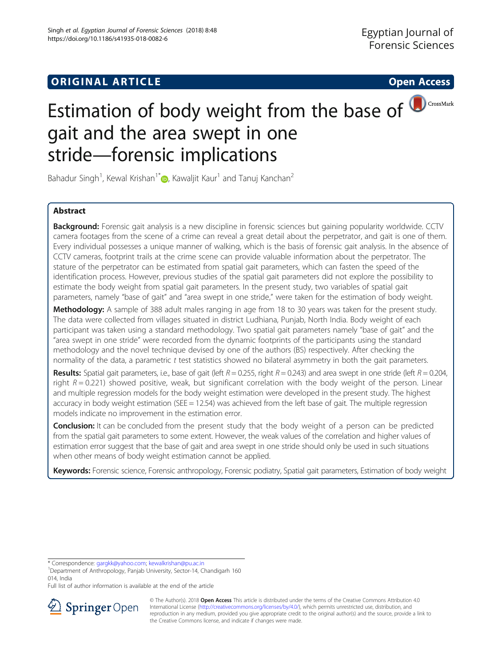# **ORIGINAL ARTICLE CONSERVANCE IN A LOCAL CONSERVANCE IN A LOCAL CONSERVANCE IN A LOCAL CONSERVANCE IN A LOCAL CONS**

# Estimation of body weight from the base of **D**CrossMark gait and the area swept in one stride—forensic implications

Bahadur Singh<sup>1</sup>[,](http://orcid.org/0000-0001-5321-0958) Kewal Krishan<sup>1\*</sup> $\textcircled{\tiny{\textsf{P}}\hspace{-0.1em} \textsf{P}}$ , Kawaljit Kaur<sup>1</sup> and Tanuj Kanchan<sup>2</sup>

## Abstract

Background: Forensic gait analysis is a new discipline in forensic sciences but gaining popularity worldwide. CCTV camera footages from the scene of a crime can reveal a great detail about the perpetrator, and gait is one of them. Every individual possesses a unique manner of walking, which is the basis of forensic gait analysis. In the absence of CCTV cameras, footprint trails at the crime scene can provide valuable information about the perpetrator. The stature of the perpetrator can be estimated from spatial gait parameters, which can fasten the speed of the identification process. However, previous studies of the spatial gait parameters did not explore the possibility to estimate the body weight from spatial gait parameters. In the present study, two variables of spatial gait parameters, namely "base of gait" and "area swept in one stride," were taken for the estimation of body weight.

Methodology: A sample of 388 adult males ranging in age from 18 to 30 years was taken for the present study. The data were collected from villages situated in district Ludhiana, Punjab, North India. Body weight of each participant was taken using a standard methodology. Two spatial gait parameters namely "base of gait" and the "area swept in one stride" were recorded from the dynamic footprints of the participants using the standard methodology and the novel technique devised by one of the authors (BS) respectively. After checking the normality of the data, a parametric t test statistics showed no bilateral asymmetry in both the gait parameters.

**Results:** Spatial gait parameters, i.e., base of gait (left  $R = 0.255$ , right  $R = 0.243$ ) and area swept in one stride (left  $R = 0.204$ , right  $R = 0.221$ ) showed positive, weak, but significant correlation with the body weight of the person. Linear and multiple regression models for the body weight estimation were developed in the present study. The highest accuracy in body weight estimation (SEE = 12.54) was achieved from the left base of gait. The multiple regression models indicate no improvement in the estimation error.

**Conclusion:** It can be concluded from the present study that the body weight of a person can be predicted from the spatial gait parameters to some extent. However, the weak values of the correlation and higher values of estimation error suggest that the base of gait and area swept in one stride should only be used in such situations when other means of body weight estimation cannot be applied.

Keywords: Forensic science, Forensic anthropology, Forensic podiatry, Spatial gait parameters, Estimation of body weight

\* Correspondence: [gargkk@yahoo.com](mailto:gargkk@yahoo.com); [kewalkrishan@pu.ac.in](mailto:kewalkrishan@pu.ac.in) <sup>1</sup>

Department of Anthropology, Panjab University, Sector-14, Chandigarh 160 014, India

Full list of author information is available at the end of the article



© The Author(s). 2018 Open Access This article is distributed under the terms of the Creative Commons Attribution 4.0 International License ([http://creativecommons.org/licenses/by/4.0/\)](http://creativecommons.org/licenses/by/4.0/), which permits unrestricted use, distribution, and reproduction in any medium, provided you give appropriate credit to the original author(s) and the source, provide a link to the Creative Commons license, and indicate if changes were made.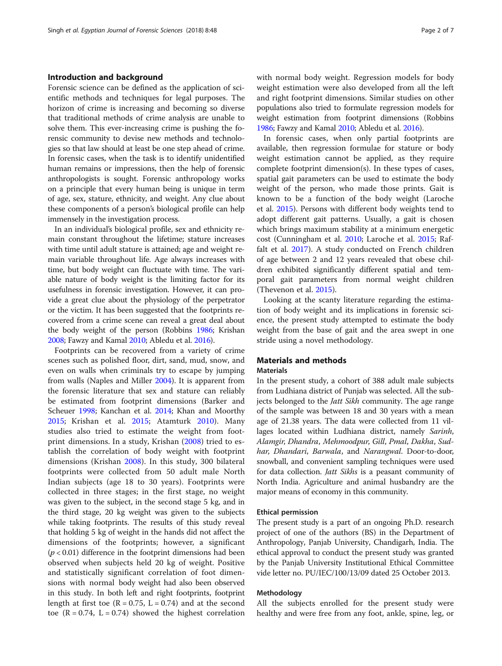## Introduction and background

Forensic science can be defined as the application of scientific methods and techniques for legal purposes. The horizon of crime is increasing and becoming so diverse that traditional methods of crime analysis are unable to solve them. This ever-increasing crime is pushing the forensic community to devise new methods and technologies so that law should at least be one step ahead of crime. In forensic cases, when the task is to identify unidentified human remains or impressions, then the help of forensic anthropologists is sought. Forensic anthropology works on a principle that every human being is unique in term of age, sex, stature, ethnicity, and weight. Any clue about these components of a person's biological profile can help immensely in the investigation process.

In an individual's biological profile, sex and ethnicity remain constant throughout the lifetime; stature increases with time until adult stature is attained; age and weight remain variable throughout life. Age always increases with time, but body weight can fluctuate with time. The variable nature of body weight is the limiting factor for its usefulness in forensic investigation. However, it can provide a great clue about the physiology of the perpetrator or the victim. It has been suggested that the footprints recovered from a crime scene can reveal a great deal about the body weight of the person (Robbins [1986](#page-6-0); Krishan [2008;](#page-5-0) Fawzy and Kamal [2010;](#page-5-0) Abledu et al. [2016\)](#page-5-0).

Footprints can be recovered from a variety of crime scenes such as polished floor, dirt, sand, mud, snow, and even on walls when criminals try to escape by jumping from walls (Naples and Miller [2004\)](#page-6-0). It is apparent from the forensic literature that sex and stature can reliably be estimated from footprint dimensions (Barker and Scheuer [1998;](#page-5-0) Kanchan et al. [2014;](#page-5-0) Khan and Moorthy [2015](#page-5-0); Krishan et al. [2015;](#page-5-0) Atamturk [2010](#page-5-0)). Many studies also tried to estimate the weight from footprint dimensions. In a study, Krishan ([2008\)](#page-5-0) tried to establish the correlation of body weight with footprint dimensions (Krishan [2008\)](#page-5-0). In this study, 300 bilateral footprints were collected from 50 adult male North Indian subjects (age 18 to 30 years). Footprints were collected in three stages; in the first stage, no weight was given to the subject, in the second stage 5 kg, and in the third stage, 20 kg weight was given to the subjects while taking footprints. The results of this study reveal that holding 5 kg of weight in the hands did not affect the dimensions of the footprints; however, a significant  $(p < 0.01)$  difference in the footprint dimensions had been observed when subjects held 20 kg of weight. Positive and statistically significant correlation of foot dimensions with normal body weight had also been observed in this study. In both left and right footprints, footprint length at first toe  $(R = 0.75, L = 0.74)$  and at the second toe ( $R = 0.74$ ,  $L = 0.74$ ) showed the highest correlation with normal body weight. Regression models for body weight estimation were also developed from all the left and right footprint dimensions. Similar studies on other populations also tried to formulate regression models for weight estimation from footprint dimensions (Robbins [1986](#page-6-0); Fawzy and Kamal [2010;](#page-5-0) Abledu et al. [2016\)](#page-5-0).

In forensic cases, when only partial footprints are available, then regression formulae for stature or body weight estimation cannot be applied, as they require complete footprint dimension(s). In these types of cases, spatial gait parameters can be used to estimate the body weight of the person, who made those prints. Gait is known to be a function of the body weight (Laroche et al. [2015\)](#page-5-0). Persons with different body weights tend to adopt different gait patterns. Usually, a gait is chosen which brings maximum stability at a minimum energetic cost (Cunningham et al. [2010](#page-5-0); Laroche et al. [2015;](#page-5-0) Raffalt et al. [2017\)](#page-6-0). A study conducted on French children of age between 2 and 12 years revealed that obese children exhibited significantly different spatial and temporal gait parameters from normal weight children (Thevenon et al. [2015](#page-6-0)).

Looking at the scanty literature regarding the estimation of body weight and its implications in forensic science, the present study attempted to estimate the body weight from the base of gait and the area swept in one stride using a novel methodology.

## Materials and methods **Materials**

In the present study, a cohort of 388 adult male subjects from Ludhiana district of Punjab was selected. All the subjects belonged to the *Jatt Sikh* community. The age range of the sample was between 18 and 30 years with a mean age of 21.38 years. The data were collected from 11 villages located within Ludhiana district, namely Sarinh, Alamgir, Dhandra, Mehmoodpur, Gill, Pmal, Dakha, Sudhar, Dhandari, Barwala, and Narangwal. Door-to-door, snowball, and convenient sampling techniques were used for data collection. Jatt Sikhs is a peasant community of North India. Agriculture and animal husbandry are the major means of economy in this community.

#### Ethical permission

The present study is a part of an ongoing Ph.D. research project of one of the authors (BS) in the Department of Anthropology, Panjab University, Chandigarh, India. The ethical approval to conduct the present study was granted by the Panjab University Institutional Ethical Committee vide letter no. PU/IEC/100/13/09 dated 25 October 2013.

#### Methodology

All the subjects enrolled for the present study were healthy and were free from any foot, ankle, spine, leg, or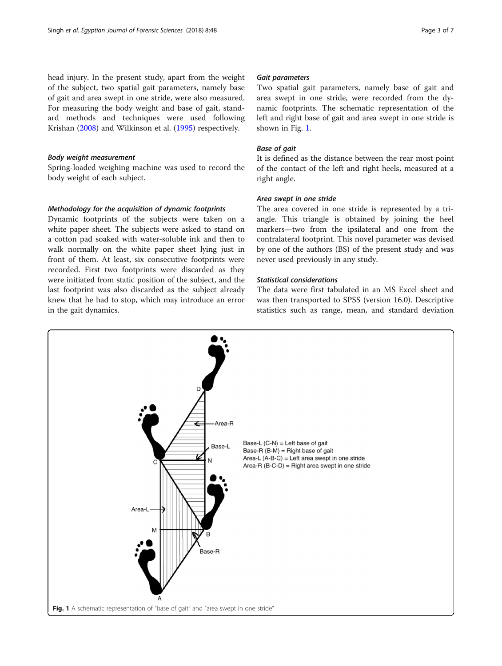head injury. In the present study, apart from the weight of the subject, two spatial gait parameters, namely base of gait and area swept in one stride, were also measured. For measuring the body weight and base of gait, standard methods and techniques were used following Krishan ([2008](#page-5-0)) and Wilkinson et al. [\(1995\)](#page-6-0) respectively.

#### Body weight measurement

Spring-loaded weighing machine was used to record the body weight of each subject.

## Methodology for the acquisition of dynamic footprints

Dynamic footprints of the subjects were taken on a white paper sheet. The subjects were asked to stand on a cotton pad soaked with water-soluble ink and then to walk normally on the white paper sheet lying just in front of them. At least, six consecutive footprints were recorded. First two footprints were discarded as they were initiated from static position of the subject, and the last footprint was also discarded as the subject already knew that he had to stop, which may introduce an error in the gait dynamics.

#### Gait parameters

Two spatial gait parameters, namely base of gait and area swept in one stride, were recorded from the dynamic footprints. The schematic representation of the left and right base of gait and area swept in one stride is shown in Fig. 1.

## Base of gait

It is defined as the distance between the rear most point of the contact of the left and right heels, measured at a right angle.

## Area swept in one stride

The area covered in one stride is represented by a triangle. This triangle is obtained by joining the heel markers—two from the ipsilateral and one from the contralateral footprint. This novel parameter was devised by one of the authors (BS) of the present study and was never used previously in any study.

## Statistical considerations

The data were first tabulated in an MS Excel sheet and was then transported to SPSS (version 16.0). Descriptive statistics such as range, mean, and standard deviation

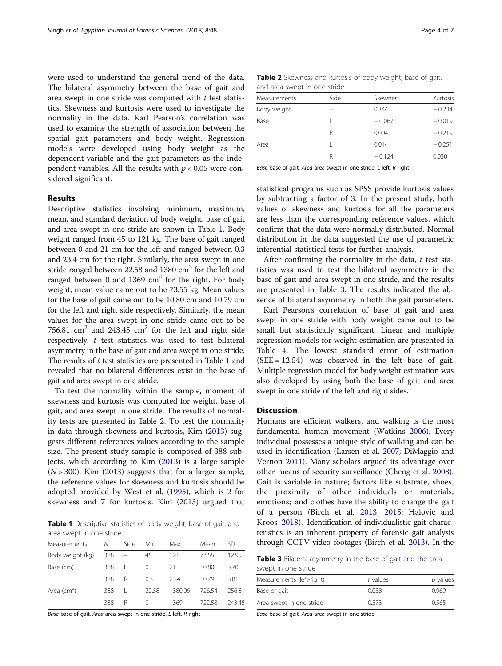<span id="page-3-0"></span>were used to understand the general trend of the data. The bilateral asymmetry between the base of gait and area swept in one stride was computed with  $t$  test statistics. Skewness and kurtosis were used to investigate the normality in the data. Karl Pearson's correlation was used to examine the strength of association between the spatial gait parameters and body weight. Regression models were developed using body weight as the dependent variable and the gait parameters as the independent variables. All the results with  $p < 0.05$  were considered significant.

## Results

Descriptive statistics involving minimum, maximum, mean, and standard deviation of body weight, base of gait and area swept in one stride are shown in Table 1. Body weight ranged from 45 to 121 kg. The base of gait ranged between 0 and 21 cm for the left and ranged between 0.3 and 23.4 cm for the right. Similarly, the area swept in one stride ranged between 22.58 and 1380  $\text{cm}^2$  for the left and ranged between 0 and 1369  $\text{cm}^2$  for the right. For body weight, mean value came out to be 73.55 kg. Mean values for the base of gait came out to be 10.80 cm and 10.79 cm for the left and right side respectively. Similarly, the mean values for the area swept in one stride came out to be 756.81  $\text{cm}^2$  and 243.45  $\text{cm}^2$  for the left and right side respectively.  $t$  test statistics was used to test bilateral asymmetry in the base of gait and area swept in one stride. The results of  $t$  test statistics are presented in Table 1 and revealed that no bilateral differences exist in the base of gait and area swept in one stride.

To test the normality within the sample, moment of skewness and kurtosis was computed for weight, base of gait, and area swept in one stride. The results of normality tests are presented in Table 2. To test the normality in data through skewness and kurtosis, Kim ([2013](#page-5-0)) suggests different references values according to the sample size. The present study sample is composed of 388 subjects, which according to Kim ([2013](#page-5-0)) is a large sample  $(N > 300)$ . Kim  $(2013)$  $(2013)$  suggests that for a larger sample, the reference values for skewness and kurtosis should be adopted provided by West et al. [\(1995\)](#page-6-0), which is 2 for skewness and 7 for kurtosis. Kim [\(2013\)](#page-5-0) argued that

Table 1 Descriptive statistics of body weight, base of gait, and area swept in one stride

| Measurements     | Ν   | Side | Min.  | Max.    | Mean   | SD     |
|------------------|-----|------|-------|---------|--------|--------|
| Body weight (kg) | 388 |      | 45    | 121     | 73.55  | 1295   |
| Base (cm)        | 388 |      | 0     | 21      | 10.80  | 3.70   |
|                  | 388 | R    | 0.3   | 23.4    | 1079   | 3.81   |
| Area $(cm2)$     | 388 |      | 22.58 | 1380.06 | 726.54 | 256.81 |
|                  | 388 | R    | 0     | 1369    | 722.58 | 243.45 |

Base base of gait, Area area swept in one stride, L left, R right

|  | <b>Table 2</b> Skewness and kurtosis of body weight, base of gait, |  |  |  |  |
|--|--------------------------------------------------------------------|--|--|--|--|
|  | and area swept in one stride                                       |  |  |  |  |

| Measurements | Side | Skewness | Kurtosis |  |  |
|--------------|------|----------|----------|--|--|
| Body weight  |      | 0.344    | $-0.234$ |  |  |
| Base         |      | $-0.067$ | $-0.019$ |  |  |
|              | R    | 0.004    | $-0.219$ |  |  |
| Area         |      | 0.014    | $-0.251$ |  |  |
|              | R    | $-0.124$ | 0.030    |  |  |

Base base of gait, Area area swept in one stride, L left, R right

statistical programs such as SPSS provide kurtosis values by subtracting a factor of 3. In the present study, both values of skewness and kurtosis for all the parameters are less than the corresponding reference values, which confirm that the data were normally distributed. Normal distribution in the data suggested the use of parametric inferential statistical tests for further analysis.

After confirming the normality in the data,  $t$  test statistics was used to test the bilateral asymmetry in the base of gait and area swept in one stride, and the results are presented in Table 3. The results indicated the absence of bilateral asymmetry in both the gait parameters.

Karl Pearson's correlation of base of gait and area swept in one stride with body weight came out to be small but statistically significant. Linear and multiple regression models for weight estimation are presented in Table [4.](#page-4-0) The lowest standard error of estimation  $(SEE = 12.54)$  was observed in the left base of gait. Multiple regression model for body weight estimation was also developed by using both the base of gait and area swept in one stride of the left and right sides.

## **Discussion**

Humans are efficient walkers, and walking is the most fundamental human movement (Watkins [2006\)](#page-6-0). Every individual possesses a unique style of walking and can be used in identification (Larsen et al. [2007;](#page-5-0) DiMaggio and Vernon [2011\)](#page-5-0). Many scholars argued its advantage over other means of security surveillance (Cheng et al. [2008](#page-5-0)). Gait is variable in nature; factors like substrate, shoes, the proximity of other individuals or materials, emotions; and clothes have the ability to change the gait of a person (Birch et al. [2013](#page-5-0), [2015](#page-5-0); Halovic and Kroos [2018](#page-5-0)). Identification of individualistic gait characteristics is an inherent property of forensic gait analysis through CCTV video footages (Birch et al. [2013](#page-5-0)). In the

Table 3 Bilateral asymmetry in the base of gait and the area swept in one stride

| Measurements (left-right) | t values | p values |
|---------------------------|----------|----------|
| Base of gait              | 0.038    | 0.969    |
| Area swept in one stride  | 0.573    | 0.565    |

Base base of gait, Area area swept in one stride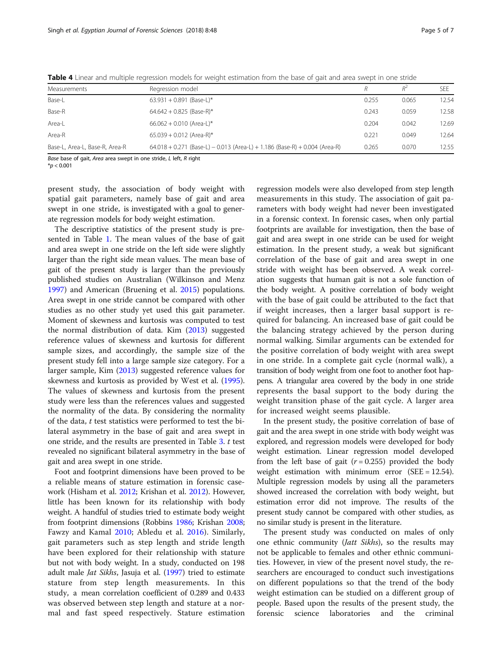| Measurements                   | Regression model                                                             |       | R <sup>2</sup> | <b>SFF</b> |
|--------------------------------|------------------------------------------------------------------------------|-------|----------------|------------|
| Base-L                         | 63.931 + 0.891 (Base-L)*                                                     | 0.255 | 0.065          | 12.54      |
| Base-R                         | 64.642 + 0.825 (Base-R)*                                                     | 0.243 | 0.059          | 12.58      |
| Area-L                         | $66.062 + 0.010$ (Area-L)*                                                   | 0.204 | 0.042          | 12.69      |
| Area-R                         | 65.039 + 0.012 (Area-R)*                                                     | 0.221 | 0.049          | 12.64      |
| Base-L, Area-L, Base-R, Area-R | $64.018 + 0.271$ (Base-L) - 0.013 (Area-L) + 1.186 (Base-R) + 0.004 (Area-R) | 0.265 | 0.070          | 12.55      |

<span id="page-4-0"></span>Table 4 Linear and multiple regression models for weight estimation from the base of gait and area swept in one stride

Base base of gait, Area area swept in one stride, L left, R right

 $*$ *p* < 0.001

present study, the association of body weight with spatial gait parameters, namely base of gait and area swept in one stride, is investigated with a goal to generate regression models for body weight estimation.

The descriptive statistics of the present study is presented in Table [1](#page-3-0). The mean values of the base of gait and area swept in one stride on the left side were slightly larger than the right side mean values. The mean base of gait of the present study is larger than the previously published studies on Australian (Wilkinson and Menz [1997](#page-6-0)) and American (Bruening et al. [2015\)](#page-5-0) populations. Area swept in one stride cannot be compared with other studies as no other study yet used this gait parameter. Moment of skewness and kurtosis was computed to test the normal distribution of data. Kim [\(2013](#page-5-0)) suggested reference values of skewness and kurtosis for different sample sizes, and accordingly, the sample size of the present study fell into a large sample size category. For a larger sample, Kim ([2013\)](#page-5-0) suggested reference values for skewness and kurtosis as provided by West et al. ([1995](#page-6-0)). The values of skewness and kurtosis from the present study were less than the references values and suggested the normality of the data. By considering the normality of the data, t test statistics were performed to test the bilateral asymmetry in the base of gait and area swept in one stride, and the results are presented in Table [3.](#page-3-0) t test revealed no significant bilateral asymmetry in the base of gait and area swept in one stride.

Foot and footprint dimensions have been proved to be a reliable means of stature estimation in forensic casework (Hisham et al. [2012](#page-5-0); Krishan et al. [2012](#page-5-0)). However, little has been known for its relationship with body weight. A handful of studies tried to estimate body weight from footprint dimensions (Robbins [1986](#page-6-0); Krishan [2008](#page-5-0); Fawzy and Kamal [2010](#page-5-0); Abledu et al. [2016](#page-5-0)). Similarly, gait parameters such as step length and stride length have been explored for their relationship with stature but not with body weight. In a study, conducted on 198 adult male *Jat Sikhs*, Jasuja et al. [\(1997](#page-5-0)) tried to estimate stature from step length measurements. In this study, a mean correlation coefficient of 0.289 and 0.433 was observed between step length and stature at a normal and fast speed respectively. Stature estimation

regression models were also developed from step length measurements in this study. The association of gait parameters with body weight had never been investigated in a forensic context. In forensic cases, when only partial footprints are available for investigation, then the base of gait and area swept in one stride can be used for weight estimation. In the present study, a weak but significant correlation of the base of gait and area swept in one stride with weight has been observed. A weak correlation suggests that human gait is not a sole function of the body weight. A positive correlation of body weight with the base of gait could be attributed to the fact that if weight increases, then a larger basal support is required for balancing. An increased base of gait could be the balancing strategy achieved by the person during normal walking. Similar arguments can be extended for the positive correlation of body weight with area swept in one stride. In a complete gait cycle (normal walk), a transition of body weight from one foot to another foot happens. A triangular area covered by the body in one stride represents the basal support to the body during the weight transition phase of the gait cycle. A larger area for increased weight seems plausible.

In the present study, the positive correlation of base of gait and the area swept in one stride with body weight was explored, and regression models were developed for body weight estimation. Linear regression model developed from the left base of gait  $(r = 0.255)$  provided the body weight estimation with minimum error (SEE = 12.54). Multiple regression models by using all the parameters showed increased the correlation with body weight, but estimation error did not improve. The results of the present study cannot be compared with other studies, as no similar study is present in the literature.

The present study was conducted on males of only one ethnic community (Jatt Sikhs), so the results may not be applicable to females and other ethnic communities. However, in view of the present novel study, the researchers are encouraged to conduct such investigations on different populations so that the trend of the body weight estimation can be studied on a different group of people. Based upon the results of the present study, the forensic science laboratories and the criminal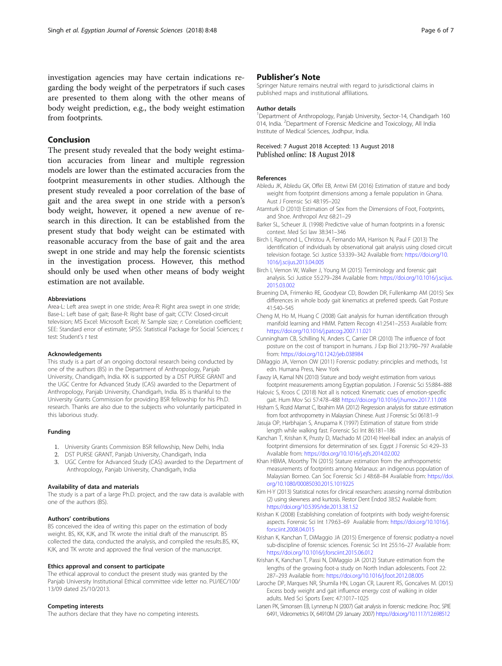<span id="page-5-0"></span>investigation agencies may have certain indications regarding the body weight of the perpetrators if such cases are presented to them along with the other means of body weight prediction, e.g., the body weight estimation from footprints.

## Conclusion

The present study revealed that the body weight estimation accuracies from linear and multiple regression models are lower than the estimated accuracies from the footprint measurements in other studies. Although the present study revealed a poor correlation of the base of gait and the area swept in one stride with a person's body weight, however, it opened a new avenue of research in this direction. It can be established from the present study that body weight can be estimated with reasonable accuracy from the base of gait and the area swept in one stride and may help the forensic scientists in the investigation process. However, this method should only be used when other means of body weight estimation are not available.

#### Abbreviations

Area-L: Left area swept in one stride; Area-R: Right area swept in one stride; Base-L: Left base of gait; Base-R: Right base of gait; CCTV: Closed-circuit television; MS Excel: Microsoft Excel; N: Sample size; r: Correlation coefficient; SEE: Standard error of estimate; SPSS: Statistical Package for Social Sciences; t test: Student's t test

#### Acknowledgements

This study is a part of an ongoing doctoral research being conducted by one of the authors (BS) in the Department of Anthropology, Panjab University, Chandigarh, India. KK is supported by a DST PURSE GRANT and the UGC Centre for Advanced Study (CAS) awarded to the Department of Anthropology, Panjab University, Chandigarh, India. BS is thankful to the University Grants Commission for providing BSR fellowship for his Ph.D. research. Thanks are also due to the subjects who voluntarily participated in this laborious study.

#### Funding

- 1. University Grants Commission BSR fellowship, New Delhi, India
- 2. DST PURSE GRANT, Panjab University, Chandigarh, India
- 3. UGC Centre for Advanced Study (CAS) awarded to the Department of Anthropology, Panjab University, Chandigarh, India

#### Availability of data and materials

The study is a part of a large Ph.D. project, and the raw data is available with one of the authors (BS).

#### Authors' contributions

BS conceived the idea of writing this paper on the estimation of body weight. BS, KK, KJK, and TK wrote the initial draft of the manuscript. BS collected the data, conducted the analysis, and compiled the results.BS, KK, KJK, and TK wrote and approved the final version of the manuscript.

#### Ethics approval and consent to participate

The ethical approval to conduct the present study was granted by the Panjab University Institutional Ethical committee vide letter no. PU/IEC/100/ 13/09 dated 25/10/2013.

#### Competing interests

The authors declare that they have no competing interests.

## Publisher's Note

Springer Nature remains neutral with regard to jurisdictional claims in published maps and institutional affiliations.

#### Author details

<sup>1</sup>Department of Anthropology, Panjab University, Sector-14, Chandigarh 160 014, India. <sup>2</sup>Department of Forensic Medicine and Toxicology, All India Institute of Medical Sciences, Jodhpur, India.

### Received: 7 August 2018 Accepted: 13 August 2018 Published online: 18 August 2018

#### References

- Abledu JK, Abledu GK, Offei EB, Antwi EM (2016) Estimation of stature and body weight from footprint dimensions among a female population in Ghana. Aust J Forensic Sci 48:195–202
- Atamturk D (2010) Estimation of Sex from the Dimensions of Foot, Footprints, and Shoe. Anthropol Anz 68:21–29
- Barker SL, Scheuer JL (1998) Predictive value of human footprints in a forensic context. Med Sci law 38:341–346
- Birch I, Raymond L, Christou A, Fernando MA, Harrison N, Paul F (2013) The identification of individuals by observational gait analysis using closed circuit television footage. Sci Justice 53:339–342 Available from: [https://doi.org/10.](https://doi.org/10.1016/j.scijus.2013.04.005) [1016/j.scijus.2013.04.005](https://doi.org/10.1016/j.scijus.2013.04.005)
- Birch I, Vernon W, Walker J, Young M (2015) Terminology and forensic gait analysis. Sci Justice 55:279–284 Available from: [https://doi.org/10.1016/j.scijus.](https://doi.org/10.1016/j.scijus.2015.03.002) [2015.03.002](https://doi.org/10.1016/j.scijus.2015.03.002)
- Bruening DA, Frimenko RE, Goodyear CD, Bowden DR, Fullenkamp AM (2015) Sex differences in whole body gait kinematics at preferred speeds. Gait Posture 41:540–545
- Cheng M, Ho M, Huang C (2008) Gait analysis for human identification through manifold learning and HMM. Pattern Recogn 41:2541–2553 Available from: <https://doi.org/10.1016/j.patcog.2007.11.021>
- Cunningham CB, Schilling N, Anders C, Carrier DR (2010) The influence of foot posture on the cost of transport in humans. J Exp Biol 213:790–797 Available from: <https://doi.org/10.1242/jeb.038984>
- DiMaggio JA, Vernon OW (2011) Forensic podiatry: principles and methods, 1st edn. Humana Press, New York
- Fawzy IA, Kamal NN (2010) Stature and body weight estimation from various footprint measurements among Egyptian population. J Forensic Sci 55:884–888
- Halovic S, Kroos C (2018) Not all is noticed: Kinematic cues of emotion-specific gait. Hum Mov Sci 57:478–488 <https://doi.org/10.1016/j.humov.2017.11.008>
- Hisham S, Rozid Mamat C, Ibrahim MA (2012) Regression analysis for stature estimation from foot anthropometry in Malaysian Chinese. Aust J Forensic Sci 0618:1–9
- Jasuja OP, Harbhajan S, Anupama K (1997) Estimation of stature from stride length while walking fast. Forensic Sci Int 86:181–186
- Kanchan T, Krishan K, Prusty D, Machado M (2014) Heel-ball index: an analysis of footprint dimensions for determination of sex. Egypt J Forensic Sci 4:29–33 Available from: <https://doi.org/10.1016/j.ejfs.2014.02.002>
- Khan HBMA, Moorthy TN (2015) Stature estimation from the anthropometric measurements of footprints among Melanaus: an indigenous population of Malaysian Borneo. Can Soc Forensic Sci J 48:68–84 Available from: [https://doi.](https://doi.org/10.1080/00085030.2015.1019225) [org/10.1080/00085030.2015.1019225](https://doi.org/10.1080/00085030.2015.1019225)
- Kim H-Y (2013) Statistical notes for clinical researchers: assessing normal distribution (2) using skewness and kurtosis. Restor Dent Endod 38:52 Available from: <https://doi.org/10.5395/rde.2013.38.1.52>
- Krishan K (2008) Establishing correlation of footprints with body weight-forensic aspects. Forensic Sci Int 179:63–69 Available from: [https://doi.org/10.1016/j.](https://doi.org/10.1016/j.forsciint.2008.04.015) [forsciint.2008.04.015](https://doi.org/10.1016/j.forsciint.2008.04.015)
- Krishan K, Kanchan T, DiMaggio JA (2015) Emergence of forensic podiatry-a novel sub-discipline of forensic sciences. Forensic Sci Int 255:16–27 Available from: <https://doi.org/10.1016/j.forsciint.2015.06.012>
- Krishan K, Kanchan T, Passi N, DiMaggio JA (2012) Stature estimation from the lengths of the growing foot-a study on North Indian adolescents. Foot 22: 287–293 Available from: <https://doi.org/10.1016/j.foot.2012.08.005>
- Laroche DP, Marques NR, Shumila HN, Logan CR, Laurent RS, Goncalves M. (2015) Excess body weight and gait influence energy cost of walking in older adults. Med Sci Sports Exerc 47:1017–1025
- Larsen PK, Simonsen EB, Lynnerup N (2007) Gait analysis in forensic medicine. Proc. SPIE 6491, Videometrics IX, 64910M (29 January 2007) <https://doi.org/10.1117/12.698512>